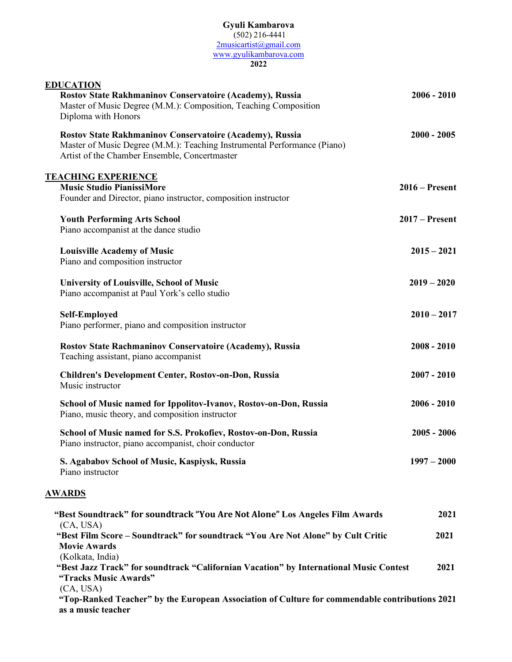## **Gyuli Kambarova** (502) 216-4441 2musicartist@gmail.com www.gyulikambarova.com

**2022**

| <b>EDUCATION</b><br>Rostov State Rakhmaninov Conservatoire (Academy), Russia<br>Master of Music Degree (M.M.): Composition, Teaching Composition<br>Diploma with Honors               | $2006 - 2010$    |
|---------------------------------------------------------------------------------------------------------------------------------------------------------------------------------------|------------------|
| Rostov State Rakhmaninov Conservatoire (Academy), Russia<br>Master of Music Degree (M.M.): Teaching Instrumental Performance (Piano)<br>Artist of the Chamber Ensemble, Concertmaster | $2000 - 2005$    |
| <b>TEACHING EXPERIENCE</b><br><b>Music Studio PianissiMore</b><br>Founder and Director, piano instructor, composition instructor                                                      | $2016$ – Present |
| <b>Youth Performing Arts School</b><br>Piano accompanist at the dance studio                                                                                                          | $2017 -$ Present |
| <b>Louisville Academy of Music</b><br>Piano and composition instructor                                                                                                                | $2015 - 2021$    |
| University of Louisville, School of Music<br>Piano accompanist at Paul York's cello studio                                                                                            | $2019 - 2020$    |
| <b>Self-Employed</b><br>Piano performer, piano and composition instructor                                                                                                             | $2010 - 2017$    |
| Rostov State Rachmaninov Conservatoire (Academy), Russia<br>Teaching assistant, piano accompanist                                                                                     | $2008 - 2010$    |
| <b>Children's Development Center, Rostov-on-Don, Russia</b><br>Music instructor                                                                                                       | $2007 - 2010$    |
| School of Music named for Ippolitov-Ivanov, Rostov-on-Don, Russia<br>Piano, music theory, and composition instructor                                                                  | $2006 - 2010$    |
| School of Music named for S.S. Prokofiev, Rostov-on-Don, Russia<br>Piano instructor, piano accompanist, choir conductor                                                               | $2005 - 2006$    |
| S. Agababov School of Music, Kaspiysk, Russia<br>Piano instructor                                                                                                                     | $1997 - 2000$    |
| <u>AWARDS</u>                                                                                                                                                                         |                  |
| "Best Soundtrack" for soundtrack "You Are Not Alone" Los Angeles Film Awards                                                                                                          | 2021             |
| (CA, USA)<br>"Best Film Score – Soundtrack" for soundtrack "You Are Not Alone" by Cult Critic<br><b>Movie Awards</b>                                                                  | 2021             |
| (Kolkata, India)<br>"Best Jazz Track" for soundtrack "Californian Vacation" by International Music Contest<br>"Tracks Music Awards"                                                   | 2021             |
| (CA, USA)<br>"Top-Ranked Teacher" by the European Association of Culture for commendable contributions 2021                                                                           |                  |

 **as a music teacher**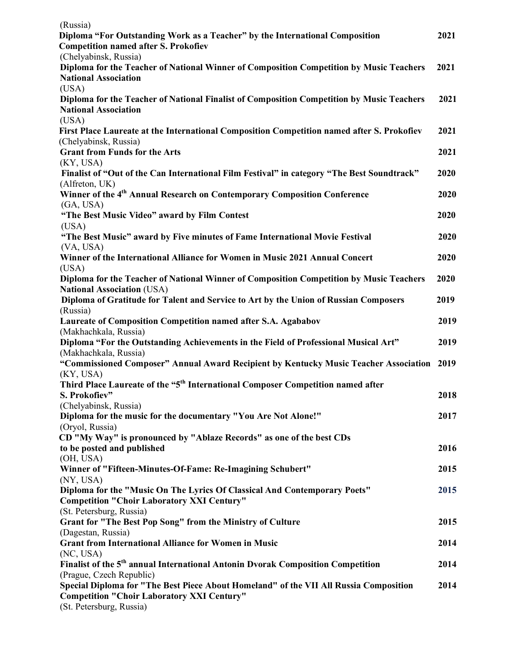| (Russia)                                                                                                                    |      |
|-----------------------------------------------------------------------------------------------------------------------------|------|
| Diploma "For Outstanding Work as a Teacher" by the International Composition<br><b>Competition named after S. Prokofiev</b> | 2021 |
| (Chelyabinsk, Russia)                                                                                                       |      |
| Diploma for the Teacher of National Winner of Composition Competition by Music Teachers                                     | 2021 |
| <b>National Association</b>                                                                                                 |      |
| (USA)                                                                                                                       |      |
| Diploma for the Teacher of National Finalist of Composition Competition by Music Teachers<br><b>National Association</b>    | 2021 |
| (USA)                                                                                                                       |      |
| First Place Laureate at the International Composition Competition named after S. Prokofiev<br>(Chelyabinsk, Russia)         | 2021 |
| <b>Grant from Funds for the Arts</b>                                                                                        | 2021 |
| (KY, USA)                                                                                                                   |      |
| Finalist of "Out of the Can International Film Festival" in category "The Best Soundtrack"                                  | 2020 |
| (Alfreton, UK)                                                                                                              |      |
| Winner of the 4 <sup>th</sup> Annual Research on Contemporary Composition Conference                                        | 2020 |
| (GA, USA)<br>"The Best Music Video" award by Film Contest                                                                   | 2020 |
| (USA)                                                                                                                       |      |
| "The Best Music" award by Five minutes of Fame International Movie Festival                                                 | 2020 |
| (VA, USA)                                                                                                                   |      |
| Winner of the International Alliance for Women in Music 2021 Annual Concert                                                 | 2020 |
| (USA)                                                                                                                       |      |
| Diploma for the Teacher of National Winner of Composition Competition by Music Teachers                                     | 2020 |
| <b>National Association (USA)</b>                                                                                           |      |
| Diploma of Gratitude for Talent and Service to Art by the Union of Russian Composers                                        | 2019 |
| (Russia)                                                                                                                    |      |
| Laureate of Composition Competition named after S.A. Agababov                                                               | 2019 |
| (Makhachkala, Russia)                                                                                                       |      |
| Diploma "For the Outstanding Achievements in the Field of Professional Musical Art"                                         | 2019 |
| (Makhachkala, Russia)<br>"Commissioned Composer" Annual Award Recipient by Kentucky Music Teacher Association 2019          |      |
| (KY, USA)                                                                                                                   |      |
| Third Place Laureate of the "5 <sup>th</sup> International Composer Competition named after                                 |      |
| S. Prokofiev"                                                                                                               | 2018 |
| (Chelyabinsk, Russia)                                                                                                       |      |
| Diploma for the music for the documentary "You Are Not Alone!"                                                              | 2017 |
| (Oryol, Russia)                                                                                                             |      |
| CD "My Way" is pronounced by "Ablaze Records" as one of the best CDs                                                        |      |
| to be posted and published                                                                                                  | 2016 |
| (OH, USA)                                                                                                                   |      |
| Winner of "Fifteen-Minutes-Of-Fame: Re-Imagining Schubert"                                                                  | 2015 |
| (NY, USA)<br>Diploma for the "Music On The Lyrics Of Classical And Contemporary Poets"                                      | 2015 |
| <b>Competition "Choir Laboratory XXI Century"</b>                                                                           |      |
| (St. Petersburg, Russia)                                                                                                    |      |
| Grant for "The Best Pop Song" from the Ministry of Culture                                                                  | 2015 |
| (Dagestan, Russia)                                                                                                          |      |
| <b>Grant from International Alliance for Women in Music</b>                                                                 | 2014 |
| (NC, USA)                                                                                                                   |      |
| Finalist of the 5 <sup>th</sup> annual International Antonin Dvorak Composition Competition                                 | 2014 |
| (Prague, Czech Republic)                                                                                                    |      |
| Special Diploma for "The Best Piece About Homeland" of the VII All Russia Composition                                       | 2014 |
| <b>Competition "Choir Laboratory XXI Century"</b>                                                                           |      |
| (St. Petersburg, Russia)                                                                                                    |      |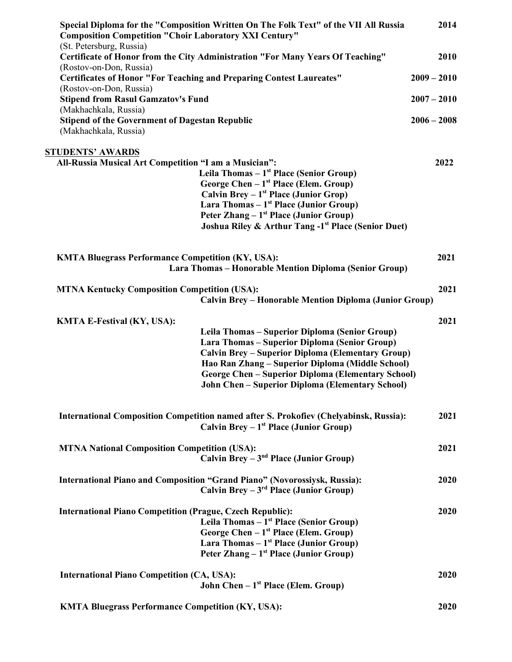| Special Diploma for the "Composition Written On The Folk Text" of the VII All Russia<br><b>Composition Competition "Choir Laboratory XXI Century"</b><br>(St. Petersburg, Russia)                                                                                                                                                                         | 2014          |
|-----------------------------------------------------------------------------------------------------------------------------------------------------------------------------------------------------------------------------------------------------------------------------------------------------------------------------------------------------------|---------------|
| <b>Certificate of Honor from the City Administration "For Many Years Of Teaching"</b>                                                                                                                                                                                                                                                                     | 2010          |
| (Rostov-on-Don, Russia)<br><b>Certificates of Honor "For Teaching and Preparing Contest Laureates"</b>                                                                                                                                                                                                                                                    | $2009 - 2010$ |
| (Rostov-on-Don, Russia)<br><b>Stipend from Rasul Gamzatov's Fund</b>                                                                                                                                                                                                                                                                                      | $2007 - 2010$ |
| (Makhachkala, Russia)<br><b>Stipend of the Government of Dagestan Republic</b><br>(Makhachkala, Russia)                                                                                                                                                                                                                                                   | $2006 - 2008$ |
| <u>STUDENTS' AWARDS</u>                                                                                                                                                                                                                                                                                                                                   |               |
| All-Russia Musical Art Competition "I am a Musician":<br>Leila Thomas $-1st$ Place (Senior Group)<br>George Chen $-1st$ Place (Elem. Group)<br>Calvin Brey – $1st$ Place (Junior Grop)<br>Lara Thomas $-1st$ Place (Junior Group)<br>Peter Zhang – 1 <sup>st</sup> Place (Junior Group)<br><b>Joshua Riley &amp; Arthur Tang -1st Place (Senior Duet)</b> | 2022          |
| <b>KMTA Bluegrass Performance Competition (KY, USA):</b><br>Lara Thomas - Honorable Mention Diploma (Senior Group)                                                                                                                                                                                                                                        | 2021          |
| <b>MTNA Kentucky Composition Competition (USA):</b><br><b>Calvin Brey - Honorable Mention Diploma (Junior Group)</b>                                                                                                                                                                                                                                      | 2021          |
| <b>KMTA E-Festival (KY, USA):</b>                                                                                                                                                                                                                                                                                                                         | 2021          |
| Leila Thomas – Superior Diploma (Senior Group)<br>Lara Thomas - Superior Diploma (Senior Group)<br><b>Calvin Brey – Superior Diploma (Elementary Group)</b><br>Hao Ran Zhang – Superior Diploma (Middle School)<br><b>George Chen - Superior Diploma (Elementary School)</b><br><b>John Chen - Superior Diploma (Elementary School)</b>                   |               |
| <b>International Composition Competition named after S. Prokofiev (Chelyabinsk, Russia):</b><br>Calvin Brey $-1st$ Place (Junior Group)                                                                                                                                                                                                                   | 2021          |
| <b>MTNA National Composition Competition (USA):</b><br>Calvin Brey $-3nd$ Place (Junior Group)                                                                                                                                                                                                                                                            | 2021          |
| International Piano and Composition "Grand Piano" (Novorossiysk, Russia):<br>Calvin Brev $-3^{rd}$ Place (Junior Group)                                                                                                                                                                                                                                   | 2020          |
| <b>International Piano Competition (Prague, Czech Republic):</b><br>Leila Thomas $-1st$ Place (Senior Group)<br>George Chen - 1 <sup>st</sup> Place (Elem. Group)<br>Lara Thomas $-1st$ Place (Junior Group)<br>Peter Zhang – $1st$ Place (Junior Group)                                                                                                  | 2020          |
| <b>International Piano Competition (CA, USA):</b><br><b>John Chen</b> $-1st$ Place (Elem. Group)                                                                                                                                                                                                                                                          | 2020          |
| <b>KMTA Bluegrass Performance Competition (KY, USA):</b>                                                                                                                                                                                                                                                                                                  | 2020          |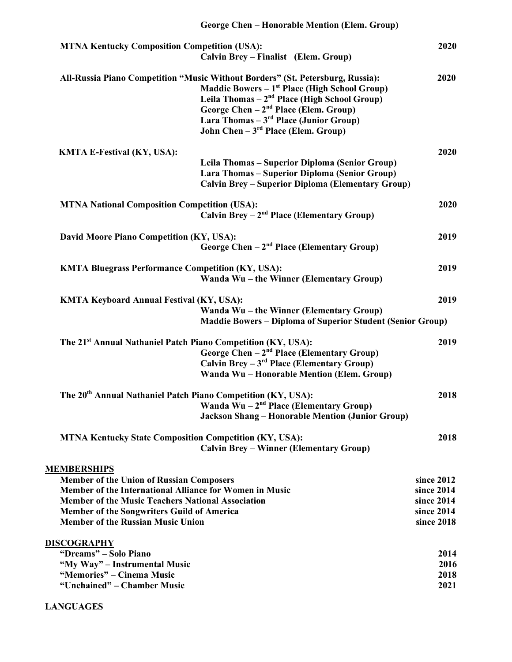| <b>George Chen - Honorable Mention (Elem. Group)</b>                                                                                                                                                                                                                                                                       |                                                                    |
|----------------------------------------------------------------------------------------------------------------------------------------------------------------------------------------------------------------------------------------------------------------------------------------------------------------------------|--------------------------------------------------------------------|
| <b>MTNA Kentucky Composition Competition (USA):</b><br>Calvin Brey – Finalist (Elem. Group)                                                                                                                                                                                                                                | 2020                                                               |
| All-Russia Piano Competition "Music Without Borders" (St. Petersburg, Russia):<br><b>Maddie Bowers - 1st Place (High School Group)</b><br>Leila Thomas $-2nd$ Place (High School Group)<br>George Chen $-2nd$ Place (Elem. Group)<br>Lara Thomas $-3^{rd}$ Place (Junior Group)<br>John Chen $-3^{rd}$ Place (Elem. Group) | 2020                                                               |
| <b>KMTA E-Festival (KY, USA):</b>                                                                                                                                                                                                                                                                                          | 2020                                                               |
| Leila Thomas - Superior Diploma (Senior Group)<br>Lara Thomas - Superior Diploma (Senior Group)<br><b>Calvin Brey – Superior Diploma (Elementary Group)</b>                                                                                                                                                                |                                                                    |
| <b>MTNA National Composition Competition (USA):</b><br>Calvin Brey $-2nd$ Place (Elementary Group)                                                                                                                                                                                                                         | 2020                                                               |
| David Moore Piano Competition (KY, USA):<br>George Chen $-2nd$ Place (Elementary Group)                                                                                                                                                                                                                                    | 2019                                                               |
| <b>KMTA Bluegrass Performance Competition (KY, USA):</b><br>Wanda Wu - the Winner (Elementary Group)                                                                                                                                                                                                                       | 2019                                                               |
| <b>KMTA Keyboard Annual Festival (KY, USA):</b><br>Wanda Wu - the Winner (Elementary Group)<br><b>Maddie Bowers - Diploma of Superior Student (Senior Group)</b>                                                                                                                                                           | 2019                                                               |
| The 21 <sup>st</sup> Annual Nathaniel Patch Piano Competition (KY, USA):<br>George Chen - 2 <sup>nd</sup> Place (Elementary Group)<br>Calvin Brey $-3^{rd}$ Place (Elementary Group)<br>Wanda Wu - Honorable Mention (Elem. Group)                                                                                         | 2019                                                               |
| The 20 <sup>th</sup> Annual Nathaniel Patch Piano Competition (KY, USA):<br>Wanda Wu $-2nd$ Place (Elementary Group)<br><b>Jackson Shang - Honorable Mention (Junior Group)</b>                                                                                                                                            | 2018                                                               |
| <b>MTNA Kentucky State Composition Competition (KY, USA):</b><br><b>Calvin Brey – Winner (Elementary Group)</b>                                                                                                                                                                                                            | 2018                                                               |
| <b>MEMBERSHIPS</b><br><b>Member of the Union of Russian Composers</b><br>Member of the International Alliance for Women in Music<br><b>Member of the Music Teachers National Association</b><br><b>Member of the Songwriters Guild of America</b><br><b>Member of the Russian Music Union</b>                              | since 2012<br>since 2014<br>since 2014<br>since 2014<br>since 2018 |
| <b>DISCOGRAPHY</b><br>"Dreams" - Solo Piano<br>"My Way" – Instrumental Music<br>"Memories" – Cinema Music<br>"Unchained" – Chamber Music                                                                                                                                                                                   | 2014<br>2016<br>2018<br>2021                                       |

## **LANGUAGES**